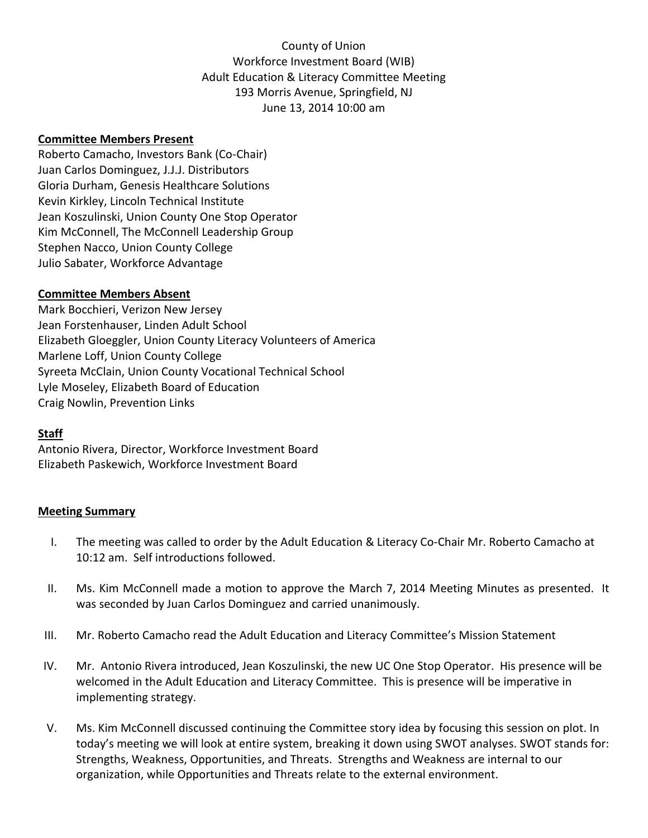County of Union Workforce Investment Board (WIB) Adult Education & Literacy Committee Meeting 193 Morris Avenue, Springfield, NJ June 13, 2014 10:00 am

## **Committee Members Present**

Roberto Camacho, Investors Bank (Co-Chair) Juan Carlos Dominguez, J.J.J. Distributors Gloria Durham, Genesis Healthcare Solutions Kevin Kirkley, Lincoln Technical Institute Jean Koszulinski, Union County One Stop Operator Kim McConnell, The McConnell Leadership Group Stephen Nacco, Union County College Julio Sabater, Workforce Advantage

## **Committee Members Absent**

Mark Bocchieri, Verizon New Jersey Jean Forstenhauser, Linden Adult School Elizabeth Gloeggler, Union County Literacy Volunteers of America Marlene Loff, Union County College Syreeta McClain, Union County Vocational Technical School Lyle Moseley, Elizabeth Board of Education Craig Nowlin, Prevention Links

## **Staff**

Antonio Rivera, Director, Workforce Investment Board Elizabeth Paskewich, Workforce Investment Board

## **Meeting Summary**

- I. The meeting was called to order by the Adult Education & Literacy Co-Chair Mr. Roberto Camacho at 10:12 am. Self introductions followed.
- II. Ms. Kim McConnell made a motion to approve the March 7, 2014 Meeting Minutes as presented. It was seconded by Juan Carlos Dominguez and carried unanimously.
- III. Mr. Roberto Camacho read the Adult Education and Literacy Committee's Mission Statement
- IV. Mr. Antonio Rivera introduced, Jean Koszulinski, the new UC One Stop Operator. His presence will be welcomed in the Adult Education and Literacy Committee. This is presence will be imperative in implementing strategy.
- V. Ms. Kim McConnell discussed continuing the Committee story idea by focusing this session on plot. In today's meeting we will look at entire system, breaking it down using SWOT analyses. SWOT stands for: Strengths, Weakness, Opportunities, and Threats. Strengths and Weakness are internal to our organization, while Opportunities and Threats relate to the external environment.